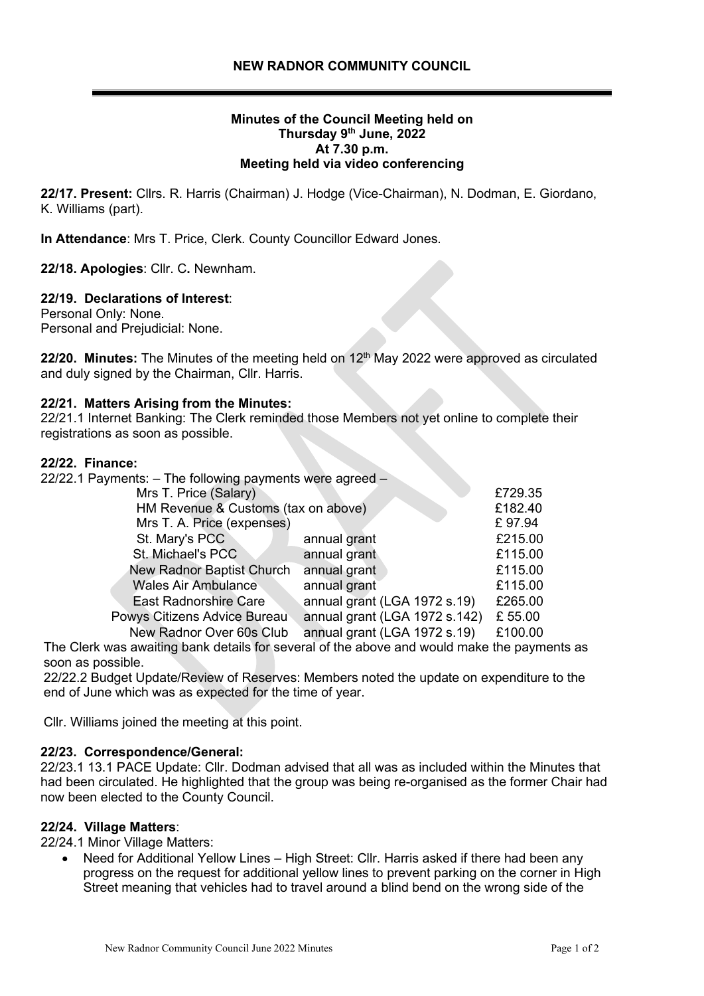# **Minutes of the Council Meeting held on Thursday 9 th June, 2022 At 7.30 p.m. Meeting held via video conferencing**

**22/17. Present:** Cllrs. R. Harris (Chairman) J. Hodge (Vice-Chairman), N. Dodman, E. Giordano, K. Williams (part).

**In Attendance**: Mrs T. Price, Clerk. County Councillor Edward Jones.

**22/18. Apologies**: Cllr. C**.** Newnham.

# **22/19. Declarations of Interest**:

Personal Only: None. Personal and Prejudicial: None.

22/20. Minutes: The Minutes of the meeting held on 12<sup>th</sup> May 2022 were approved as circulated and duly signed by the Chairman, Cllr. Harris.

## **22/21. Matters Arising from the Minutes:**

22/21.1 Internet Banking: The Clerk reminded those Members not yet online to complete their registrations as soon as possible.

#### **22/22. Finance:**

| 22/22.1 Payments: $-$ The following payments were agreed $-$ |                               |         |
|--------------------------------------------------------------|-------------------------------|---------|
| Mrs T. Price (Salary)                                        |                               | £729.35 |
| HM Revenue & Customs (tax on above)                          |                               | £182.40 |
| Mrs T. A. Price (expenses)                                   |                               | £97.94  |
| St. Mary's PCC                                               | annual grant                  | £215.00 |
| St. Michael's PCC                                            | annual grant                  | £115.00 |
| New Radnor Baptist Church                                    | annual grant                  | £115.00 |
| <b>Wales Air Ambulance</b>                                   | annual grant                  | £115.00 |
| <b>East Radnorshire Care</b>                                 | annual grant (LGA 1972 s.19)  | £265.00 |
| Powys Citizens Advice Bureau                                 | annual grant (LGA 1972 s.142) | £ 55.00 |
| New Radnor Over 60s Club                                     | annual grant (LGA 1972 s.19)  | £100.00 |

The Clerk was awaiting bank details for several of the above and would make the payments as soon as possible.

22/22.2 Budget Update/Review of Reserves: Members noted the update on expenditure to the end of June which was as expected for the time of year.

Cllr. Williams joined the meeting at this point.

## **22/23. Correspondence/General:**

22/23.1 13.1 PACE Update: Cllr. Dodman advised that all was as included within the Minutes that had been circulated. He highlighted that the group was being re-organised as the former Chair had now been elected to the County Council.

## **22/24. Village Matters**:

22/24.1 Minor Village Matters:

• Need for Additional Yellow Lines – High Street: Cllr. Harris asked if there had been any progress on the request for additional yellow lines to prevent parking on the corner in High Street meaning that vehicles had to travel around a blind bend on the wrong side of the